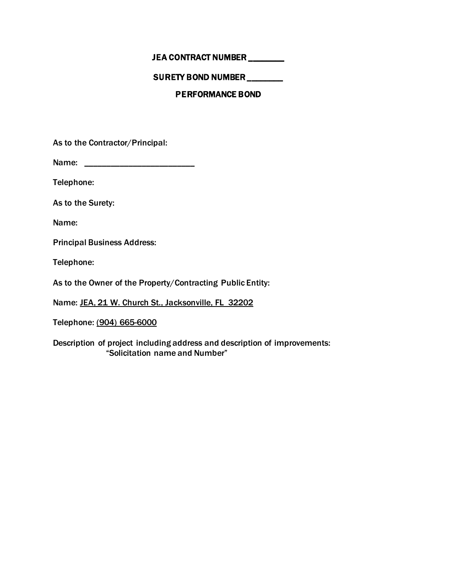# JEA CONTRACT NUMBER \_\_\_\_\_\_\_\_

# SURETY BOND NUMBER \_\_\_\_\_\_\_\_

## PERFORMANCE BOND

As to the Contractor/Principal:

Name: \_\_\_\_\_\_\_\_\_\_\_\_\_\_\_\_\_\_\_\_\_\_\_\_\_

Telephone:

As to the Surety:

Name:

Principal Business Address:

Telephone:

As to the Owner of the Property/Contracting Public Entity:

Name: JEA, 21 W. Church St., Jacksonville, FL 32202

Telephone: (904) 665-6000

Description of project including address and description of improvements: "Solicitation name and Number"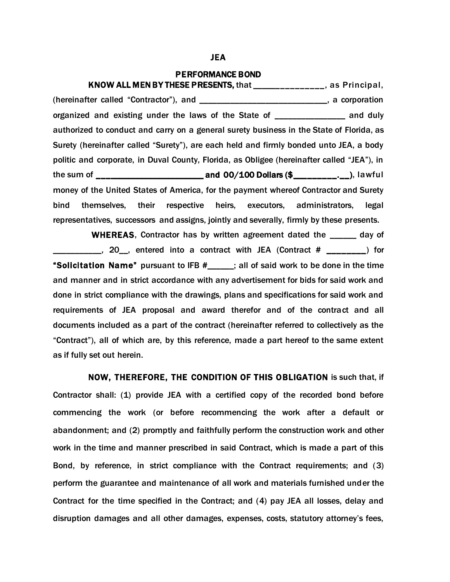### JEA

#### PERFORMANCE BOND

KNOW ALL MEN BY THESE PRESENTS, that \_\_\_\_\_\_\_\_\_\_\_\_\_\_\_, as Principal, (hereinafter called "Contractor"), and \_\_\_\_\_\_\_\_\_\_\_\_\_\_\_\_\_\_\_\_\_\_\_\_\_\_\_\_\_, a corporation organized and existing under the laws of the State of \_\_\_\_\_\_\_\_\_\_\_\_\_\_\_\_ and duly authorized to conduct and carry on a general surety business in the State of Florida, as Surety (hereinafter called "Surety"), are each held and firmly bonded unto JEA, a body politic and corporate, in Duval County, Florida, as Obligee (hereinafter called "JEA"), in the sum of  $\frac{1}{2}$  and 00/100 Dollars (\$ $\frac{1}{2}$ , lawful money of the United States of America, for the payment whereof Contractor and Surety bind themselves, their respective heirs, executors, administrators, legal representatives, successors and assigns, jointly and severally, firmly by these presents.

WHEREAS, Contractor has by written agreement dated the and day of \_\_\_\_\_\_\_\_\_\_\_, 20\_\_, entered into a contract with JEA (Contract # \_\_\_\_\_\_\_\_) for "Solicitation Name" pursuant to IFB  $#$   $|$ ; all of said work to be done in the time and manner and in strict accordance with any advertisement for bids for said work and done in strict compliance with the drawings, plans and specifications for said work and requirements of JEA proposal and award therefor and of the contract and all documents included as a part of the contract (hereinafter referred to collectively as the "Contract"), all of which are, by this reference, made a part hereof to the same extent as if fully set out herein.

NOW, THEREFORE, THE CONDITION OF THIS OBLIGATION is such that, if Contractor shall: (1) provide JEA with a certified copy of the recorded bond before commencing the work (or before recommencing the work after a default or abandonment; and (2) promptly and faithfully perform the construction work and other work in the time and manner prescribed in said Contract, which is made a part of this Bond, by reference, in strict compliance with the Contract requirements; and (3) perform the guarantee and maintenance of all work and materials furnished under the Contract for the time specified in the Contract; and (4) pay JEA all losses, delay and disruption damages and all other damages, expenses, costs, statutory attorney's fees,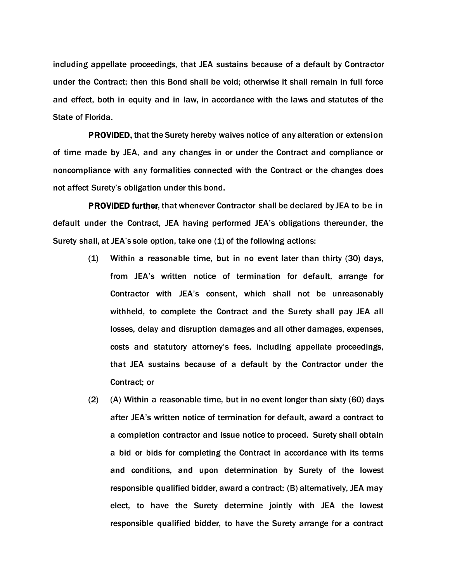including appellate proceedings, that JEA sustains because of a default by Contractor under the Contract; then this Bond shall be void; otherwise it shall remain in full force and effect, both in equity and in law, in accordance with the laws and statutes of the State of Florida.

PROVIDED, that the Surety hereby waives notice of any alteration or extension of time made by JEA, and any changes in or under the Contract and compliance or noncompliance with any formalities connected with the Contract or the changes does not affect Surety's obligation under this bond.

PROVIDED further, that whenever Contractor shall be declared by JEA to be in default under the Contract, JEA having performed JEA's obligations thereunder, the Surety shall, at JEA's sole option, take one (1) of the following actions:

- (1) Within a reasonable time, but in no event later than thirty (30) days, from JEA's written notice of termination for default, arrange for Contractor with JEA's consent, which shall not be unreasonably withheld, to complete the Contract and the Surety shall pay JEA all losses, delay and disruption damages and all other damages, expenses, costs and statutory attorney's fees, including appellate proceedings, that JEA sustains because of a default by the Contractor under the Contract; or
- (2) (A) Within a reasonable time, but in no event longer than sixty (60) days after JEA's written notice of termination for default, award a contract to a completion contractor and issue notice to proceed. Surety shall obtain a bid or bids for completing the Contract in accordance with its terms and conditions, and upon determination by Surety of the lowest responsible qualified bidder, award a contract; (B) alternatively, JEA may elect, to have the Surety determine jointly with JEA the lowest responsible qualified bidder, to have the Surety arrange for a contract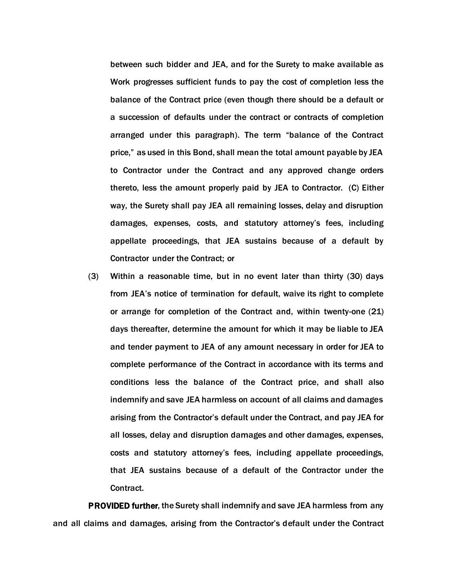between such bidder and JEA, and for the Surety to make available as Work progresses sufficient funds to pay the cost of completion less the balance of the Contract price (even though there should be a default or a succession of defaults under the contract or contracts of completion arranged under this paragraph). The term "balance of the Contract price," as used in this Bond, shall mean the total amount payable by JEA to Contractor under the Contract and any approved change orders thereto, less the amount properly paid by JEA to Contractor. (C) Either way, the Surety shall pay JEA all remaining losses, delay and disruption damages, expenses, costs, and statutory attorney's fees, including appellate proceedings, that JEA sustains because of a default by Contractor under the Contract; or

(3) Within a reasonable time, but in no event later than thirty (30) days from JEA's notice of termination for default, waive its right to complete or arrange for completion of the Contract and, within twenty-one (21) days thereafter, determine the amount for which it may be liable to JEA and tender payment to JEA of any amount necessary in order for JEA to complete performance of the Contract in accordance with its terms and conditions less the balance of the Contract price, and shall also indemnify and save JEA harmless on account of all claims and damages arising from the Contractor's default under the Contract, and pay JEA for all losses, delay and disruption damages and other damages, expenses, costs and statutory attorney's fees, including appellate proceedings, that JEA sustains because of a default of the Contractor under the Contract.

PROVIDED further, the Surety shall indemnify and save JEA harmless from any and all claims and damages, arising from the Contractor's default under the Contract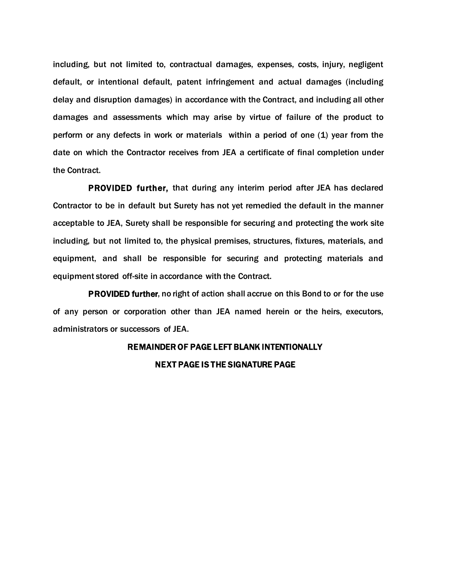including, but not limited to, contractual damages, expenses, costs, injury, negligent default, or intentional default, patent infringement and actual damages (including delay and disruption damages) in accordance with the Contract, and including all other damages and assessments which may arise by virtue of failure of the product to perform or any defects in work or materials within a period of one (1) year from the date on which the Contractor receives from JEA a certificate of final completion under the Contract.

PROVIDED further, that during any interim period after JEA has declared Contractor to be in default but Surety has not yet remedied the default in the manner acceptable to JEA, Surety shall be responsible for securing and protecting the work site including, but not limited to, the physical premises, structures, fixtures, materials, and equipment, and shall be responsible for securing and protecting materials and equipment stored off-site in accordance with the Contract.

PROVIDED further, no right of action shall accrue on this Bond to or for the use of any person or corporation other than JEA named herein or the heirs, executors, administrators or successors of JEA.

## REMAINDER OF PAGE LEFT BLANK INTENTIONALLY

### NEXT PAGE IS THE SIGNATURE PAGE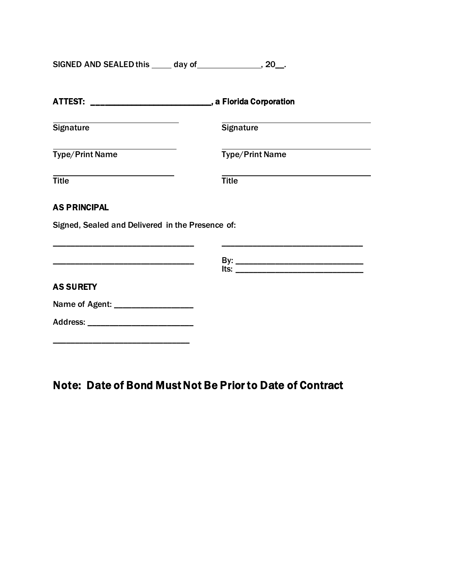SIGNED AND SEALED this \_\_\_\_\_ day of \_\_\_\_\_\_\_\_\_\_\_\_\_\_\_, 20\_\_.

| the control of the control of the control of the control of the control of the control of<br><b>Signature</b> |
|---------------------------------------------------------------------------------------------------------------|
| <b>Type/Print Name</b>                                                                                        |
| <b>Title</b>                                                                                                  |
|                                                                                                               |
| Signed, Sealed and Delivered in the Presence of:                                                              |
| <u> ts: ________________________________</u>                                                                  |
|                                                                                                               |
|                                                                                                               |
|                                                                                                               |
|                                                                                                               |

Note: Date of Bond Must Not Be Prior to Date of Contract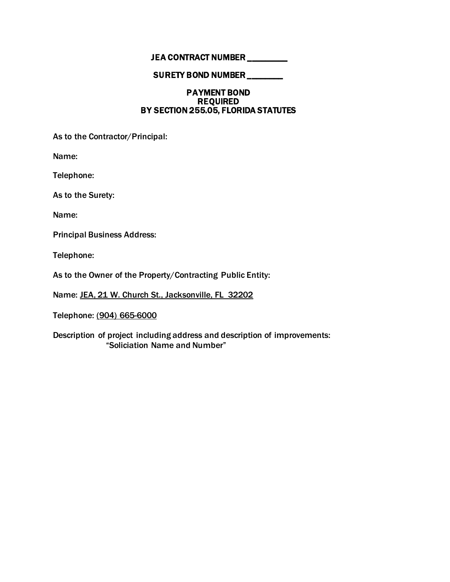# JEA CONTRACT NUMBER \_\_\_\_\_\_\_\_

### SURETY BOND NUMBER \_\_\_\_\_\_\_\_

### PAYMENT BOND REQUIRED BY SECTION 255.05, FLORIDA STATUTES

As to the Contractor/Principal:

Name:

Telephone:

As to the Surety:

Name:

Principal Business Address:

Telephone:

As to the Owner of the Property/Contracting Public Entity:

Name: JEA, 21 W. Church St., Jacksonville, FL 32202

Telephone: (904) 665-6000

Description of project including address and description of improvements: "Soliciation Name and Number"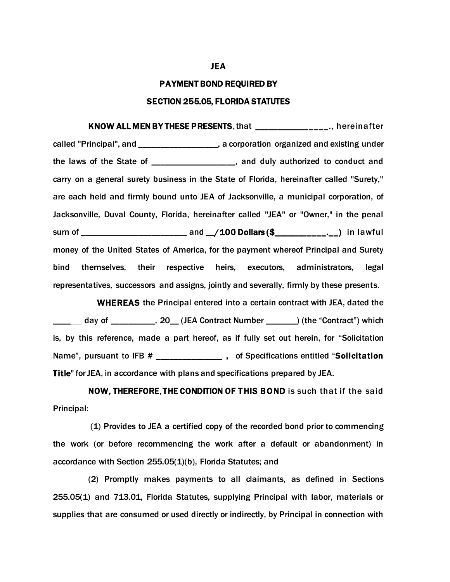### PAYMENT BOND REQUIRED BY

### SECTION 255.05, FLORIDA STATUTES

KNOW ALL MEN BY THESE PRESENTS, that \_\_\_\_\_\_\_\_\_\_\_\_\_\_\_\_., hereinafter called "Principal", and \_\_\_\_\_\_\_\_\_\_\_\_\_\_\_\_\_\_, a corporation organized and existing under the laws of the State of \_\_\_\_\_\_\_\_\_\_\_\_\_\_\_\_\_\_\_, and duly authorized to conduct and carry on a general surety business in the State of Florida, hereinafter called "Surety," are each held and firmly bound unto JEA of Jacksonville, a municipal corporation, of Jacksonville, Duval County, Florida, hereinafter called "JEA" or "Owner," in the penal sum of \_\_\_\_\_\_\_\_\_\_\_\_\_\_\_\_\_\_\_\_\_\_\_\_ and \_\_/100 Dollars (\$\_\_\_\_\_\_\_\_\_\_\_.\_\_) in lawful money of the United States of America, for the payment whereof Principal and Surety bind themselves, their respective heirs, executors, administrators, legal representatives, successors and assigns, jointly and severally, firmly by these presents.

 WHEREAS the Principal entered into a certain contract with JEA, dated the \_\_\_\_ day of \_\_\_\_\_\_\_\_\_\_, 20\_\_ (JEA Contract Number \_\_\_\_\_\_\_) (the "Contract") which is, by this reference, made a part hereof, as if fully set out herein, for "Solicitation Name", pursuant to IFB # \_\_\_\_\_\_\_\_\_\_\_\_\_\_\_\_\_, of Specifications entitled "Solicitation Title" for JEA, in accordance with plans and specifications prepared by JEA.

NOW, THEREFORE, THE CONDITION OF THIS BOND is such that if the said Principal:

(1) Provides to JEA a certified copy of the recorded bond prior to commencing the work (or before recommencing the work after a default or abandonment) in accordance with Section 255.05(1)(b), Florida Statutes; and

(2) Promptly makes payments to all claimants, as defined in Sections 255.05(1) and 713.01, Florida Statutes, supplying Principal with labor, materials or supplies that are consumed or used directly or indirectly, by Principal in connection with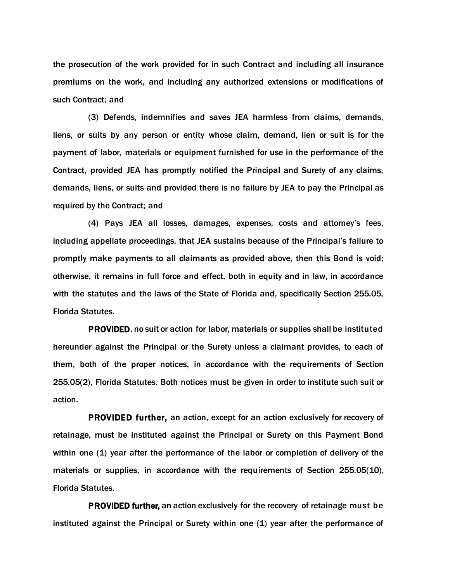the prosecution of the work provided for in such Contract and including all insurance premiums on the work, and including any authorized extensions or modifications of such Contract; and

(3) Defends, indemnifies and saves JEA harmless from claims, demands, liens, or suits by any person or entity whose claim, demand, lien or suit is for the payment of labor, materials or equipment furnished for use in the performance of the Contract, provided JEA has promptly notified the Principal and Surety of any claims, demands, liens, or suits and provided there is no failure by JEA to pay the Principal as required by the Contract; and

(4) Pays JEA all losses, damages, expenses, costs and attorney's fees, including appellate proceedings, that JEA sustains because of the Principal's failure to promptly make payments to all claimants as provided above, then this Bond is void; otherwise, it remains in full force and effect, both in equity and in law, in accordance with the statutes and the laws of the State of Florida and, specifically Section 255.05, Florida Statutes.

PROVIDED, no suit or action for labor, materials or supplies shall be instituted hereunder against the Principal or the Surety unless a claimant provides, to each of them, both of the proper notices, in accordance with the requirements of Section 255.05(2), Florida Statutes. Both notices must be given in order to institute such suit or action.

PROVIDED further, an action, except for an action exclusively for recovery of retainage, must be instituted against the Principal or Surety on this Payment Bond within one (1) year after the performance of the labor or completion of delivery of the materials or supplies, in accordance with the requirements of Section 255.05(10), Florida Statutes.

PROVIDED further, an action exclusively for the recovery of retainage must be instituted against the Principal or Surety within one (1) year after the performance of